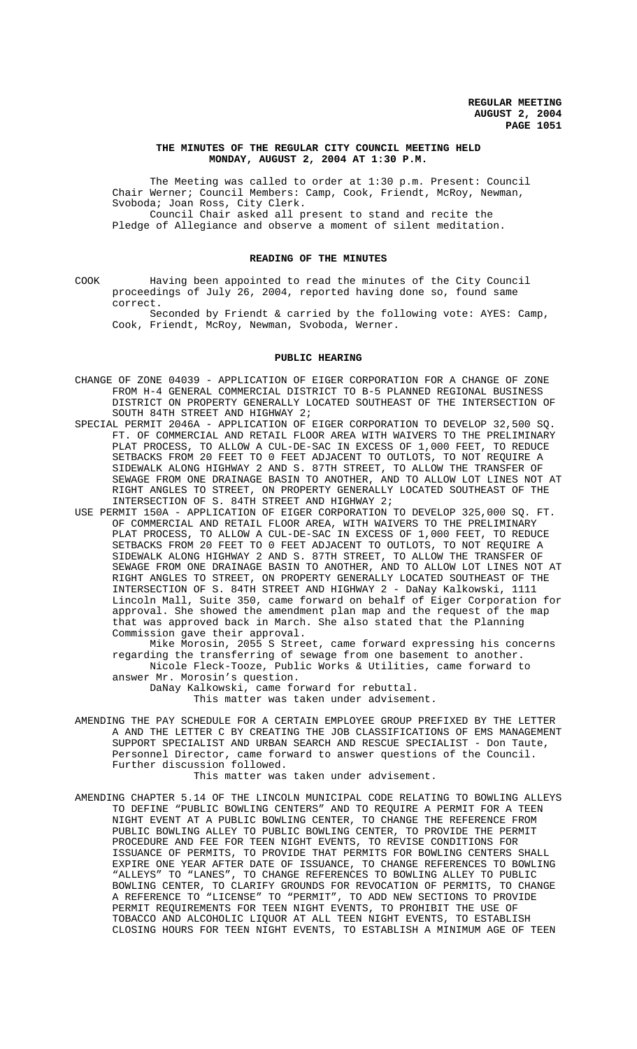## **THE MINUTES OF THE REGULAR CITY COUNCIL MEETING HELD MONDAY, AUGUST 2, 2004 AT 1:30 P.M.**

The Meeting was called to order at 1:30 p.m. Present: Council Chair Werner; Council Members: Camp, Cook, Friendt, McRoy, Newman, Svoboda; Joan Ross, City Clerk. Council Chair asked all present to stand and recite the

Pledge of Allegiance and observe a moment of silent meditation.

## **READING OF THE MINUTES**

COOK Having been appointed to read the minutes of the City Council proceedings of July 26, 2004, reported having done so, found same correct.

Seconded by Friendt & carried by the following vote: AYES: Camp, Cook, Friendt, McRoy, Newman, Svoboda, Werner.

## **PUBLIC HEARING**

- CHANGE OF ZONE 04039 APPLICATION OF EIGER CORPORATION FOR A CHANGE OF ZONE FROM H-4 GENERAL COMMERCIAL DISTRICT TO B-5 PLANNED REGIONAL BUSINESS DISTRICT ON PROPERTY GENERALLY LOCATED SOUTHEAST OF THE INTERSECTION OF SOUTH 84TH STREET AND HIGHWAY 2;
- SPECIAL PERMIT 2046A APPLICATION OF EIGER CORPORATION TO DEVELOP 32,500 SQ. FT. OF COMMERCIAL AND RETAIL FLOOR AREA WITH WAIVERS TO THE PRELIMINARY PLAT PROCESS, TO ALLOW A CUL-DE-SAC IN EXCESS OF 1,000 FEET, TO REDUCE SETBACKS FROM 20 FEET TO 0 FEET ADJACENT TO OUTLOTS, TO NOT REQUIRE A SIDEWALK ALONG HIGHWAY 2 AND S. 87TH STREET, TO ALLOW THE TRANSFER OF SEWAGE FROM ONE DRAINAGE BASIN TO ANOTHER, AND TO ALLOW LOT LINES NOT AT RIGHT ANGLES TO STREET, ON PROPERTY GENERALLY LOCATED SOUTHEAST OF THE INTERSECTION OF S. 84TH STREET AND HIGHWAY 2;
- USE PERMIT 150A APPLICATION OF EIGER CORPORATION TO DEVELOP 325,000 SQ. FT. OF COMMERCIAL AND RETAIL FLOOR AREA, WITH WAIVERS TO THE PRELIMINARY PLAT PROCESS, TO ALLOW A CUL-DE-SAC IN EXCESS OF 1,000 FEET, TO REDUCE SETBACKS FROM 20 FEET TO 0 FEET ADJACENT TO OUTLOTS, TO NOT REQUIRE A SIDEWALK ALONG HIGHWAY 2 AND S. 87TH STREET, TO ALLOW THE TRANSFER OF SEWAGE FROM ONE DRAINAGE BASIN TO ANOTHER, AND TO ALLOW LOT LINES NOT AT RIGHT ANGLES TO STREET, ON PROPERTY GENERALLY LOCATED SOUTHEAST OF THE INTERSECTION OF S. 84TH STREET AND HIGHWAY 2 - DaNay Kalkowski, 1111 Lincoln Mall, Suite 350, came forward on behalf of Eiger Corporation for approval. She showed the amendment plan map and the request of the map that was approved back in March. She also stated that the Planning Commission gave their approval.

Mike Morosin, 2055 S Street, came forward expressing his concerns regarding the transferring of sewage from one basement to another. Nicole Fleck-Tooze, Public Works & Utilities, came forward to

answer Mr. Morosin's question.

DaNay Kalkowski, came forward for rebuttal.

This matter was taken under advisement.

AMENDING THE PAY SCHEDULE FOR A CERTAIN EMPLOYEE GROUP PREFIXED BY THE LETTER A AND THE LETTER C BY CREATING THE JOB CLASSIFICATIONS OF EMS MANAGEMENT SUPPORT SPECIALIST AND URBAN SEARCH AND RESCUE SPECIALIST - Don Taute, Personnel Director, came forward to answer questions of the Council. Further discussion followed.

This matter was taken under advisement.

AMENDING CHAPTER 5.14 OF THE LINCOLN MUNICIPAL CODE RELATING TO BOWLING ALLEYS TO DEFINE "PUBLIC BOWLING CENTERS" AND TO REQUIRE A PERMIT FOR A TEEN NIGHT EVENT AT A PUBLIC BOWLING CENTER, TO CHANGE THE REFERENCE FROM PUBLIC BOWLING ALLEY TO PUBLIC BOWLING CENTER, TO PROVIDE THE PERMIT PROCEDURE AND FEE FOR TEEN NIGHT EVENTS, TO REVISE CONDITIONS FOR ISSUANCE OF PERMITS, TO PROVIDE THAT PERMITS FOR BOWLING CENTERS SHALL EXPIRE ONE YEAR AFTER DATE OF ISSUANCE, TO CHANGE REFERENCES TO BOWLING "ALLEYS" TO "LANES", TO CHANGE REFERENCES TO BOWLING ALLEY TO PUBLIC BOWLING CENTER, TO CLARIFY GROUNDS FOR REVOCATION OF PERMITS, TO CHANGE A REFERENCE TO "LICENSE" TO "PERMIT", TO ADD NEW SECTIONS TO PROVIDE PERMIT REQUIREMENTS FOR TEEN NIGHT EVENTS, TO PROHIBIT THE USE OF TOBACCO AND ALCOHOLIC LIQUOR AT ALL TEEN NIGHT EVENTS, TO ESTABLISH CLOSING HOURS FOR TEEN NIGHT EVENTS, TO ESTABLISH A MINIMUM AGE OF TEEN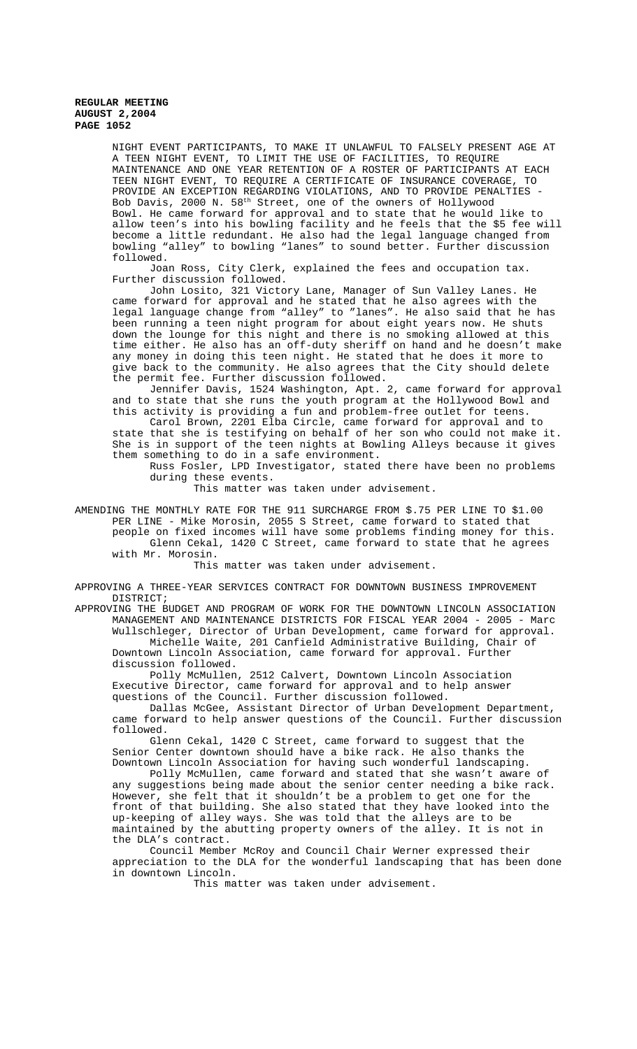NIGHT EVENT PARTICIPANTS, TO MAKE IT UNLAWFUL TO FALSELY PRESENT AGE AT A TEEN NIGHT EVENT, TO LIMIT THE USE OF FACILITIES, TO REQUIRE MAINTENANCE AND ONE YEAR RETENTION OF A ROSTER OF PARTICIPANTS AT EACH TEEN NIGHT EVENT, TO REQUIRE A CERTIFICATE OF INSURANCE COVERAGE, TO PROVIDE AN EXCEPTION REGARDING VIOLATIONS, AND TO PROVIDE PENALTIES - Bob Davis, 2000 N. 58<sup>th</sup> Street, one of the owners of Hollywood Bowl. He came forward for approval and to state that he would like to allow teen's into his bowling facility and he feels that the \$5 fee will become a little redundant. He also had the legal language changed from bowling "alley" to bowling "lanes" to sound better. Further discussion followed.

Joan Ross, City Clerk, explained the fees and occupation tax. Further discussion followed.

John Losito, 321 Victory Lane, Manager of Sun Valley Lanes. He came forward for approval and he stated that he also agrees with the legal language change from "alley" to "lanes". He also said that he has been running a teen night program for about eight years now. He shuts down the lounge for this night and there is no smoking allowed at this time either. He also has an off-duty sheriff on hand and he doesn't make any money in doing this teen night. He stated that he does it more to give back to the community. He also agrees that the City should delete the permit fee. Further discussion followed.

Jennifer Davis, 1524 Washington, Apt. 2, came forward for approval and to state that she runs the youth program at the Hollywood Bowl and this activity is providing a fun and problem-free outlet for teens.

Carol Brown, 2201 Elba Circle, came forward for approval and to state that she is testifying on behalf of her son who could not make it. She is in support of the teen nights at Bowling Alleys because it gives them something to do in a safe environment.

Russ Fosler, LPD Investigator, stated there have been no problems during these events.

This matter was taken under advisement.

AMENDING THE MONTHLY RATE FOR THE 911 SURCHARGE FROM \$.75 PER LINE TO \$1.00 PER LINE - Mike Morosin, 2055 S Street, came forward to stated that people on fixed incomes will have some problems finding money for this. Glenn Cekal, 1420 C Street, came forward to state that he agrees with Mr. Morosin.

This matter was taken under advisement.

APPROVING A THREE-YEAR SERVICES CONTRACT FOR DOWNTOWN BUSINESS IMPROVEMENT DISTRICT;

APPROVING THE BUDGET AND PROGRAM OF WORK FOR THE DOWNTOWN LINCOLN ASSOCIATION MANAGEMENT AND MAINTENANCE DISTRICTS FOR FISCAL YEAR 2004 - 2005 - Marc Wullschleger, Director of Urban Development, came forward for approval.

Michelle Waite, 201 Canfield Administrative Building, Chair of Downtown Lincoln Association, came forward for approval. Further discussion followed.

Polly McMullen, 2512 Calvert, Downtown Lincoln Association Executive Director, came forward for approval and to help answer questions of the Council. Further discussion followed.

Dallas McGee, Assistant Director of Urban Development Department, came forward to help answer questions of the Council. Further discussion followed.

Glenn Cekal, 1420 C Street, came forward to suggest that the Senior Center downtown should have a bike rack. He also thanks the Downtown Lincoln Association for having such wonderful landscaping.

Polly McMullen, came forward and stated that she wasn't aware of any suggestions being made about the senior center needing a bike rack. However, she felt that it shouldn't be a problem to get one for the front of that building. She also stated that they have looked into the up-keeping of alley ways. She was told that the alleys are to be maintained by the abutting property owners of the alley. It is not in the DLA's contract.

Council Member McRoy and Council Chair Werner expressed their appreciation to the DLA for the wonderful landscaping that has been done in downtown Lincoln.

This matter was taken under advisement.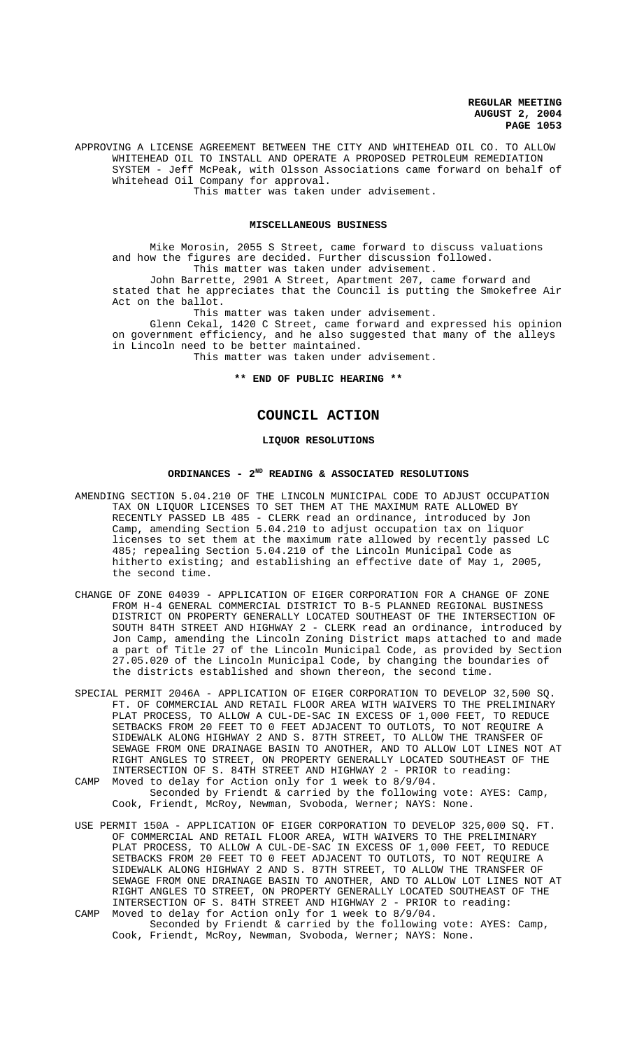APPROVING A LICENSE AGREEMENT BETWEEN THE CITY AND WHITEHEAD OIL CO. TO ALLOW WHITEHEAD OIL TO INSTALL AND OPERATE A PROPOSED PETROLEUM REMEDIATION SYSTEM - Jeff McPeak, with Olsson Associations came forward on behalf of Whitehead Oil Company for approval. This matter was taken under advisement.

**MISCELLANEOUS BUSINESS**

Mike Morosin, 2055 S Street, came forward to discuss valuations and how the figures are decided. Further discussion followed. This matter was taken under advisement.

John Barrette, 2901 A Street, Apartment 207, came forward and stated that he appreciates that the Council is putting the Smokefree Air Act on the ballot.

This matter was taken under advisement.

Glenn Cekal, 1420 C Street, came forward and expressed his opinion on government efficiency, and he also suggested that many of the alleys in Lincoln need to be better maintained. This matter was taken under advisement.

**\*\* END OF PUBLIC HEARING \*\***

# **COUNCIL ACTION**

# **LIQUOR RESOLUTIONS**

## **ORDINANCES - 2ND READING & ASSOCIATED RESOLUTIONS**

- AMENDING SECTION 5.04.210 OF THE LINCOLN MUNICIPAL CODE TO ADJUST OCCUPATION TAX ON LIQUOR LICENSES TO SET THEM AT THE MAXIMUM RATE ALLOWED BY RECENTLY PASSED LB 485 - CLERK read an ordinance, introduced by Jon Camp, amending Section 5.04.210 to adjust occupation tax on liquor licenses to set them at the maximum rate allowed by recently passed LC 485; repealing Section 5.04.210 of the Lincoln Municipal Code as hitherto existing; and establishing an effective date of May 1, 2005, the second time.
- CHANGE OF ZONE 04039 APPLICATION OF EIGER CORPORATION FOR A CHANGE OF ZONE FROM H-4 GENERAL COMMERCIAL DISTRICT TO B-5 PLANNED REGIONAL BUSINESS DISTRICT ON PROPERTY GENERALLY LOCATED SOUTHEAST OF THE INTERSECTION OF SOUTH 84TH STREET AND HIGHWAY 2 - CLERK read an ordinance, introduced by Jon Camp, amending the Lincoln Zoning District maps attached to and made a part of Title 27 of the Lincoln Municipal Code, as provided by Section 27.05.020 of the Lincoln Municipal Code, by changing the boundaries of the districts established and shown thereon, the second time.
- SPECIAL PERMIT 2046A APPLICATION OF EIGER CORPORATION TO DEVELOP 32,500 SQ. FT. OF COMMERCIAL AND RETAIL FLOOR AREA WITH WAIVERS TO THE PRELIMINARY PLAT PROCESS, TO ALLOW A CUL-DE-SAC IN EXCESS OF 1,000 FEET, TO REDUCE SETBACKS FROM 20 FEET TO 0 FEET ADJACENT TO OUTLOTS, TO NOT REQUIRE A SIDEWALK ALONG HIGHWAY 2 AND S. 87TH STREET, TO ALLOW THE TRANSFER OF SEWAGE FROM ONE DRAINAGE BASIN TO ANOTHER, AND TO ALLOW LOT LINES NOT AT RIGHT ANGLES TO STREET, ON PROPERTY GENERALLY LOCATED SOUTHEAST OF THE INTERSECTION OF S. 84TH STREET AND HIGHWAY 2 - PRIOR to reading:
- CAMP Moved to delay for Action only for 1 week to 8/9/04. Seconded by Friendt & carried by the following vote: AYES: Camp, Cook, Friendt, McRoy, Newman, Svoboda, Werner; NAYS: None.
- USE PERMIT 150A APPLICATION OF EIGER CORPORATION TO DEVELOP 325,000 SQ. FT. OF COMMERCIAL AND RETAIL FLOOR AREA, WITH WAIVERS TO THE PRELIMINARY PLAT PROCESS, TO ALLOW A CUL-DE-SAC IN EXCESS OF 1,000 FEET, TO REDUCE SETBACKS FROM 20 FEET TO 0 FEET ADJACENT TO OUTLOTS, TO NOT REQUIRE A SIDEWALK ALONG HIGHWAY 2 AND S. 87TH STREET, TO ALLOW THE TRANSFER OF SEWAGE FROM ONE DRAINAGE BASIN TO ANOTHER, AND TO ALLOW LOT LINES NOT AT RIGHT ANGLES TO STREET, ON PROPERTY GENERALLY LOCATED SOUTHEAST OF THE INTERSECTION OF S. 84TH STREET AND HIGHWAY 2 - PRIOR to reading: CAMP Moved to delay for Action only for 1 week to 8/9/04.
	- Seconded by Friendt & carried by the following vote: AYES: Camp, Cook, Friendt, McRoy, Newman, Svoboda, Werner; NAYS: None.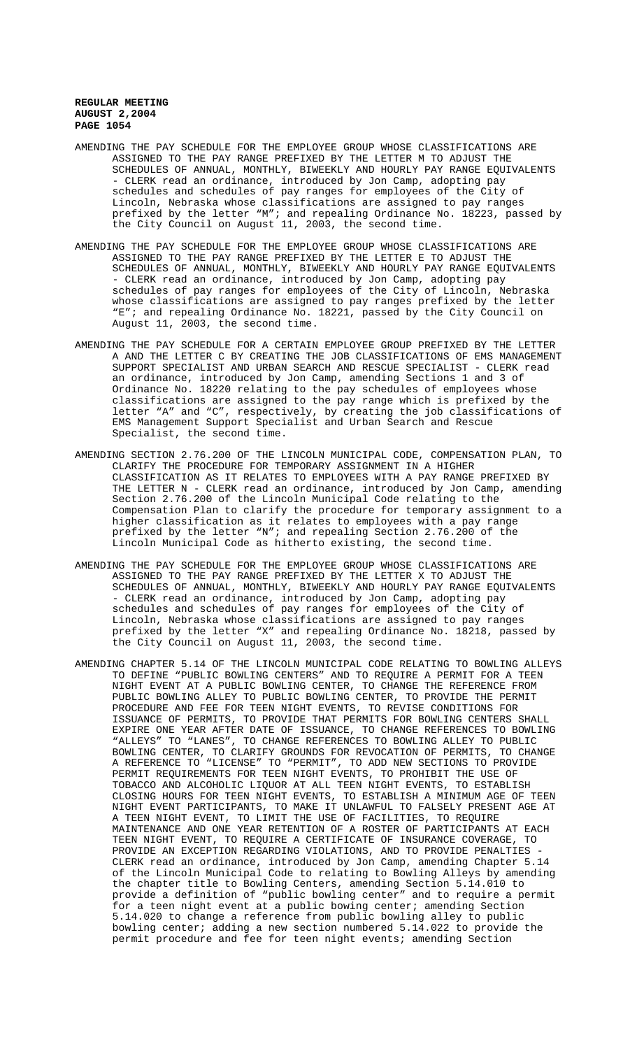- AMENDING THE PAY SCHEDULE FOR THE EMPLOYEE GROUP WHOSE CLASSIFICATIONS ARE ASSIGNED TO THE PAY RANGE PREFIXED BY THE LETTER M TO ADJUST THE SCHEDULES OF ANNUAL, MONTHLY, BIWEEKLY AND HOURLY PAY RANGE EQUIVALENTS - CLERK read an ordinance, introduced by Jon Camp, adopting pay schedules and schedules of pay ranges for employees of the City of Lincoln, Nebraska whose classifications are assigned to pay ranges prefixed by the letter "M"; and repealing Ordinance No. 18223, passed by the City Council on August 11, 2003, the second time.
- AMENDING THE PAY SCHEDULE FOR THE EMPLOYEE GROUP WHOSE CLASSIFICATIONS ARE ASSIGNED TO THE PAY RANGE PREFIXED BY THE LETTER E TO ADJUST THE SCHEDULES OF ANNUAL, MONTHLY, BIWEEKLY AND HOURLY PAY RANGE EQUIVALENTS - CLERK read an ordinance, introduced by Jon Camp, adopting pay schedules of pay ranges for employees of the City of Lincoln, Nebraska whose classifications are assigned to pay ranges prefixed by the letter "E"; and repealing Ordinance No. 18221, passed by the City Council on August 11, 2003, the second time.
- AMENDING THE PAY SCHEDULE FOR A CERTAIN EMPLOYEE GROUP PREFIXED BY THE LETTER A AND THE LETTER C BY CREATING THE JOB CLASSIFICATIONS OF EMS MANAGEMENT SUPPORT SPECIALIST AND URBAN SEARCH AND RESCUE SPECIALIST - CLERK read an ordinance, introduced by Jon Camp, amending Sections 1 and 3 of Ordinance No. 18220 relating to the pay schedules of employees whose classifications are assigned to the pay range which is prefixed by the letter "A" and "C", respectively, by creating the job classifications of EMS Management Support Specialist and Urban Search and Rescue Specialist, the second time.
- AMENDING SECTION 2.76.200 OF THE LINCOLN MUNICIPAL CODE, COMPENSATION PLAN, TO CLARIFY THE PROCEDURE FOR TEMPORARY ASSIGNMENT IN A HIGHER CLASSIFICATION AS IT RELATES TO EMPLOYEES WITH A PAY RANGE PREFIXED BY THE LETTER N - CLERK read an ordinance, introduced by Jon Camp, amending Section 2.76.200 of the Lincoln Municipal Code relating to the Compensation Plan to clarify the procedure for temporary assignment to a higher classification as it relates to employees with a pay range prefixed by the letter "N"; and repealing Section 2.76.200 of the Lincoln Municipal Code as hitherto existing, the second time.
- AMENDING THE PAY SCHEDULE FOR THE EMPLOYEE GROUP WHOSE CLASSIFICATIONS ARE ASSIGNED TO THE PAY RANGE PREFIXED BY THE LETTER X TO ADJUST THE SCHEDULES OF ANNUAL, MONTHLY, BIWEEKLY AND HOURLY PAY RANGE EQUIVALENTS - CLERK read an ordinance, introduced by Jon Camp, adopting pay schedules and schedules of pay ranges for employees of the City of Lincoln, Nebraska whose classifications are assigned to pay ranges prefixed by the letter "X" and repealing Ordinance No. 18218, passed by the City Council on August 11, 2003, the second time.
- AMENDING CHAPTER 5.14 OF THE LINCOLN MUNICIPAL CODE RELATING TO BOWLING ALLEYS TO DEFINE "PUBLIC BOWLING CENTERS" AND TO REQUIRE A PERMIT FOR A TEEN NIGHT EVENT AT A PUBLIC BOWLING CENTER, TO CHANGE THE REFERENCE FROM PUBLIC BOWLING ALLEY TO PUBLIC BOWLING CENTER, TO PROVIDE THE PERMIT PROCEDURE AND FEE FOR TEEN NIGHT EVENTS, TO REVISE CONDITIONS FOR ISSUANCE OF PERMITS, TO PROVIDE THAT PERMITS FOR BOWLING CENTERS SHALL EXPIRE ONE YEAR AFTER DATE OF ISSUANCE, TO CHANGE REFERENCES TO BOWLING "ALLEYS" TO "LANES", TO CHANGE REFERENCES TO BOWLING ALLEY TO PUBLIC BOWLING CENTER, TO CLARIFY GROUNDS FOR REVOCATION OF PERMITS, TO CHANGE A REFERENCE TO "LICENSE" TO "PERMIT", TO ADD NEW SECTIONS TO PROVIDE PERMIT REQUIREMENTS FOR TEEN NIGHT EVENTS, TO PROHIBIT THE USE OF TOBACCO AND ALCOHOLIC LIQUOR AT ALL TEEN NIGHT EVENTS, TO ESTABLISH CLOSING HOURS FOR TEEN NIGHT EVENTS, TO ESTABLISH A MINIMUM AGE OF TEEN NIGHT EVENT PARTICIPANTS, TO MAKE IT UNLAWFUL TO FALSELY PRESENT AGE AT A TEEN NIGHT EVENT, TO LIMIT THE USE OF FACILITIES, TO REQUIRE MAINTENANCE AND ONE YEAR RETENTION OF A ROSTER OF PARTICIPANTS AT EACH TEEN NIGHT EVENT, TO REQUIRE A CERTIFICATE OF INSURANCE COVERAGE, TO PROVIDE AN EXCEPTION REGARDING VIOLATIONS, AND TO PROVIDE PENALTIES - CLERK read an ordinance, introduced by Jon Camp, amending Chapter 5.14 of the Lincoln Municipal Code to relating to Bowling Alleys by amending the chapter title to Bowling Centers, amending Section 5.14.010 to provide a definition of "public bowling center" and to require a permit for a teen night event at a public bowing center; amending Section 5.14.020 to change a reference from public bowling alley to public bowling center; adding a new section numbered 5.14.022 to provide the permit procedure and fee for teen night events; amending Section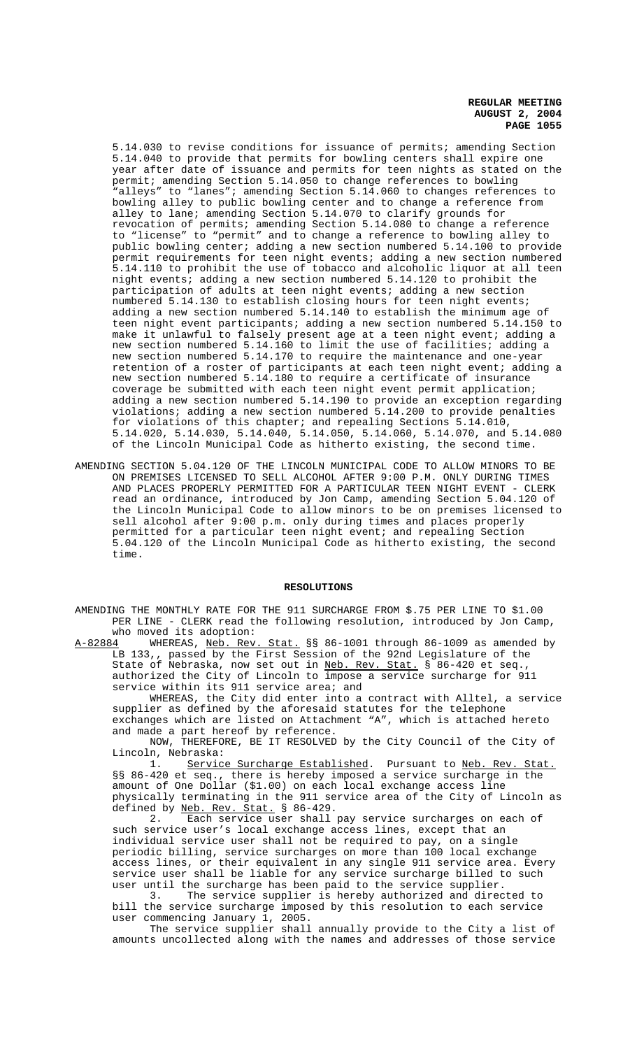5.14.030 to revise conditions for issuance of permits; amending Section 5.14.040 to provide that permits for bowling centers shall expire one year after date of issuance and permits for teen nights as stated on the permit; amending Section 5.14.050 to change references to bowling "alleys" to "lanes"; amending Section 5.14.060 to changes references to bowling alley to public bowling center and to change a reference from alley to lane; amending Section 5.14.070 to clarify grounds for revocation of permits; amending Section 5.14.080 to change a reference to "license" to "permit" and to change a reference to bowling alley to public bowling center; adding a new section numbered 5.14.100 to provide permit requirements for teen night events; adding a new section numbered 5.14.110 to prohibit the use of tobacco and alcoholic liquor at all teen night events; adding a new section numbered 5.14.120 to prohibit the participation of adults at teen night events; adding a new section numbered 5.14.130 to establish closing hours for teen night events; adding a new section numbered 5.14.140 to establish the minimum age of teen night event participants; adding a new section numbered 5.14.150 to make it unlawful to falsely present age at a teen night event; adding a new section numbered 5.14.160 to limit the use of facilities; adding a new section numbered 5.14.170 to require the maintenance and one-year retention of a roster of participants at each teen night event; adding a new section numbered 5.14.180 to require a certificate of insurance coverage be submitted with each teen night event permit application; adding a new section numbered 5.14.190 to provide an exception regarding violations; adding a new section numbered 5.14.200 to provide penalties for violations of this chapter; and repealing Sections 5.14.010, 5.14.020, 5.14.030, 5.14.040, 5.14.050, 5.14.060, 5.14.070, and 5.14.080 of the Lincoln Municipal Code as hitherto existing, the second time.

AMENDING SECTION 5.04.120 OF THE LINCOLN MUNICIPAL CODE TO ALLOW MINORS TO BE ON PREMISES LICENSED TO SELL ALCOHOL AFTER 9:00 P.M. ONLY DURING TIMES AND PLACES PROPERLY PERMITTED FOR A PARTICULAR TEEN NIGHT EVENT - CLERK read an ordinance, introduced by Jon Camp, amending Section 5.04.120 of the Lincoln Municipal Code to allow minors to be on premises licensed to sell alcohol after 9:00 p.m. only during times and places properly permitted for a particular teen night event; and repealing Section 5.04.120 of the Lincoln Municipal Code as hitherto existing, the second time.

### **RESOLUTIONS**

AMENDING THE MONTHLY RATE FOR THE 911 SURCHARGE FROM \$.75 PER LINE TO \$1.00 PER LINE - CLERK read the following resolution, introduced by Jon Camp, who moved its adoption:<br>A-82884 WHEREAS, Neb. Rev.

Stat. §§ 86-1001 through 86-1009 as amended by LB 133,, passed by the First Session of the 92nd Legislature of the State of Nebraska, now set out in Neb. Rev. Stat. § 86-420 et seq. authorized the City of Lincoln to impose a service surcharge for 911 service within its 911 service area; and

WHEREAS, the City did enter into a contract with Alltel, a service supplier as defined by the aforesaid statutes for the telephone exchanges which are listed on Attachment "A", which is attached hereto and made a part hereof by reference.

NOW, THEREFORE, BE IT RESOLVED by the City Council of the City of Lincoln, Nebraska:<br>1. Servic

Service Surcharge Established. Pursuant to Neb. Rev. Stat. §§ 86-420 et seq., there is hereby imposed a service surcharge in the amount of One Dollar (\$1.00) on each local exchange access line physically terminating in the 911 service area of the City of Lincoln as defined by <u>Neb. Rev. Stat.</u> § 86-429.

2. Each service user shall pay service surcharges on each of such service user's local exchange access lines, except that an individual service user shall not be required to pay, on a single periodic billing, service surcharges on more than 100 local exchange access lines, or their equivalent in any single 911 service area. Every service user shall be liable for any service surcharge billed to such user until the surcharge has been paid to the service supplier.

3. The service supplier is hereby authorized and directed to bill the service surcharge imposed by this resolution to each service user commencing January 1, 2005.

The service supplier shall annually provide to the City a list of amounts uncollected along with the names and addresses of those service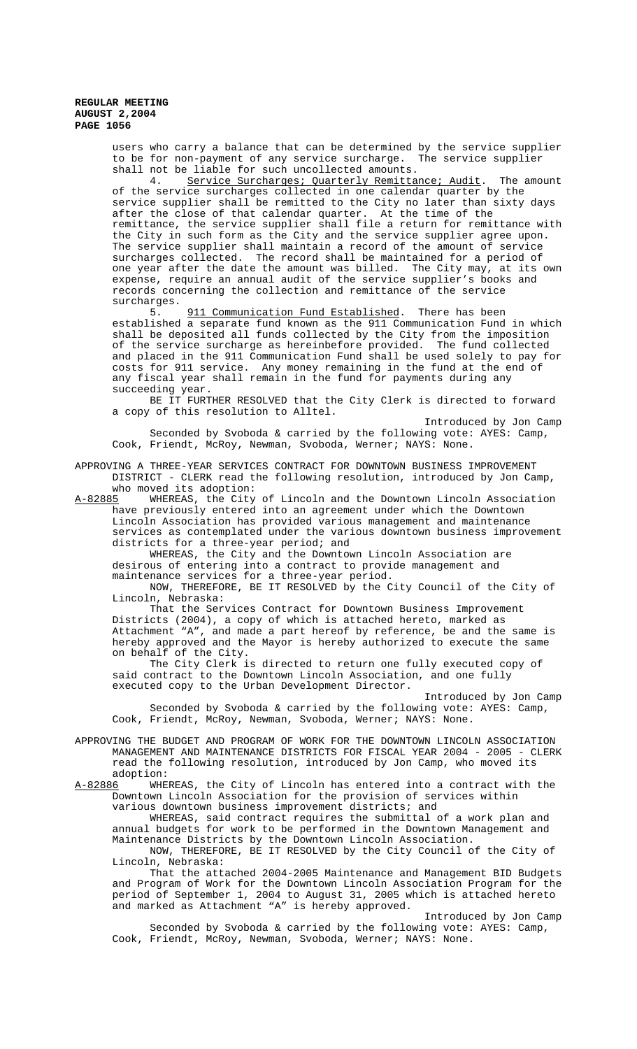> users who carry a balance that can be determined by the service supplier to be for non-payment of any service surcharge. The service supplier shall not be liable for such uncollected amounts.

> 4. Service Surcharges; Quarterly Remittance; Audit. The amount of the service surcharges collected in one calendar quarter by the service supplier shall be remitted to the City no later than sixty days after the close of that calendar quarter. At the time of the remittance, the service supplier shall file a return for remittance with the City in such form as the City and the service supplier agree upon. The service supplier shall maintain a record of the amount of service surcharges collected. The record shall be maintained for a period of one year after the date the amount was billed. The City may, at its own expense, require an annual audit of the service supplier's books and records concerning the collection and remittance of the service surcharges.

> 5. 911 Communication Fund Established. There has been established a separate fund known as the 911 Communication Fund in which shall be deposited all funds collected by the City from the imposition of the service surcharge as hereinbefore provided. The fund collected and placed in the 911 Communication Fund shall be used solely to pay for costs for 911 service. Any money remaining in the fund at the end of any fiscal year shall remain in the fund for payments during any succeeding year.

> BE IT FURTHER RESOLVED that the City Clerk is directed to forward a copy of this resolution to Alltel.

> Introduced by Jon Camp Seconded by Svoboda & carried by the following vote: AYES: Camp, Cook, Friendt, McRoy, Newman, Svoboda, Werner; NAYS: None.

APPROVING A THREE-YEAR SERVICES CONTRACT FOR DOWNTOWN BUSINESS IMPROVEMENT DISTRICT - CLERK read the following resolution, introduced by Jon Camp, who moved its adoption:

A-82885 WHEREAS, the City of Lincoln and the Downtown Lincoln Association have previously entered into an agreement under which the Downtown Lincoln Association has provided various management and maintenance services as contemplated under the various downtown business improvement districts for a three-year period; and

WHEREAS, the City and the Downtown Lincoln Association are desirous of entering into a contract to provide management and maintenance services for a three-year period.

NOW, THEREFORE, BE IT RESOLVED by the City Council of the City of Lincoln, Nebraska:

That the Services Contract for Downtown Business Improvement Districts (2004), a copy of which is attached hereto, marked as Attachment "A", and made a part hereof by reference, be and the same is hereby approved and the Mayor is hereby authorized to execute the same on behalf of the City.

The City Clerk is directed to return one fully executed copy of said contract to the Downtown Lincoln Association, and one fully executed copy to the Urban Development Director.

Introduced by Jon Camp Seconded by Svoboda & carried by the following vote: AYES: Camp, Cook, Friendt, McRoy, Newman, Svoboda, Werner; NAYS: None.

APPROVING THE BUDGET AND PROGRAM OF WORK FOR THE DOWNTOWN LINCOLN ASSOCIATION MANAGEMENT AND MAINTENANCE DISTRICTS FOR FISCAL YEAR 2004 - 2005 - CLERK read the following resolution, introduced by Jon Camp, who moved its adoption:

A-82886 WHEREAS, the City of Lincoln has entered into a contract with the Downtown Lincoln Association for the provision of services within various downtown business improvement districts; and

WHEREAS, said contract requires the submittal of a work plan and annual budgets for work to be performed in the Downtown Management and Maintenance Districts by the Downtown Lincoln Association.

NOW, THEREFORE, BE IT RESOLVED by the City Council of the City of Lincoln, Nebraska:

That the attached 2004-2005 Maintenance and Management BID Budgets and Program of Work for the Downtown Lincoln Association Program for the period of September 1, 2004 to August 31, 2005 which is attached hereto and marked as Attachment "A" is hereby approved.

Introduced by Jon Camp Seconded by Svoboda & carried by the following vote: AYES: Camp, Cook, Friendt, McRoy, Newman, Svoboda, Werner; NAYS: None.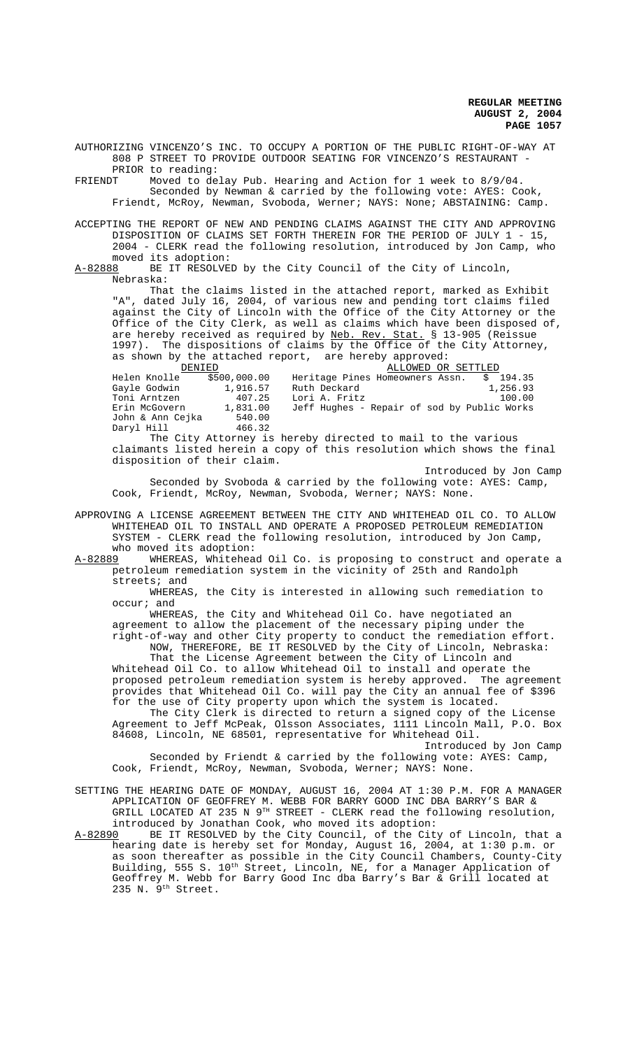AUTHORIZING VINCENZO'S INC. TO OCCUPY A PORTION OF THE PUBLIC RIGHT-OF-WAY AT 808 P STREET TO PROVIDE OUTDOOR SEATING FOR VINCENZO'S RESTAURANT - PRIOR to reading:

FRIENDT Moved to delay Pub. Hearing and Action for 1 week to 8/9/04. Seconded by Newman & carried by the following vote: AYES: Cook, Friendt, McRoy, Newman, Svoboda, Werner; NAYS: None; ABSTAINING: Camp.

ACCEPTING THE REPORT OF NEW AND PENDING CLAIMS AGAINST THE CITY AND APPROVING DISPOSITION OF CLAIMS SET FORTH THEREIN FOR THE PERIOD OF JULY 1 - 15, 2004 - CLERK read the following resolution, introduced by Jon Camp, who moved its adoption:<br>A-82888 BE IT RESOLVED

BE IT RESOLVED by the City Council of the City of Lincoln, Nebraska:

That the claims listed in the attached report, marked as Exhibit "A", dated July 16, 2004, of various new and pending tort claims filed against the City of Lincoln with the Office of the City Attorney or the Office of the City Clerk, as well as claims which have been disposed of, are hereby received as required by Neb. Rev. Stat. § 13-905 (Reissue 1997). The dispositions of claims by the Office of the City Attorney, as shown by the attached report, are hereby approved:

| DENIED           |              | ALLOWED OR SETTLED                          |
|------------------|--------------|---------------------------------------------|
| Helen Knolle     | \$500,000.00 | Heritage Pines Homeowners Assn.<br>\$194.35 |
| Gayle Godwin     | 1,916.57     | Ruth Deckard<br>1,256.93                    |
| Toni Arntzen     | 407.25       | Lori A. Fritz<br>100.00                     |
| Erin McGovern    | 1,831.00     | Jeff Hughes - Repair of sod by Public Works |
| John & Ann Cejka | 540.00       |                                             |
| Daryl Hill       | 466.32       |                                             |

The City Attorney is hereby directed to mail to the various claimants listed herein a copy of this resolution which shows the final disposition of their claim.

Introduced by Jon Camp

Seconded by Svoboda & carried by the following vote: AYES: Camp, Cook, Friendt, McRoy, Newman, Svoboda, Werner; NAYS: None.

APPROVING A LICENSE AGREEMENT BETWEEN THE CITY AND WHITEHEAD OIL CO. TO ALLOW WHITEHEAD OIL TO INSTALL AND OPERATE A PROPOSED PETROLEUM REMEDIATION SYSTEM - CLERK read the following resolution, introduced by Jon Camp, who moved its adoption:<br>A-82889 WHEREAS, Whitehea

WHEREAS, Whitehead Oil Co. is proposing to construct and operate a petroleum remediation system in the vicinity of 25th and Randolph streets; and

WHEREAS, the City is interested in allowing such remediation to occur; and

WHEREAS, the City and Whitehead Oil Co. have negotiated an agreement to allow the placement of the necessary piping under the

right-of-way and other City property to conduct the remediation effort. NOW, THEREFORE, BE IT RESOLVED by the City of Lincoln, Nebraska: That the License Agreement between the City of Lincoln and

Whitehead Oil Co. to allow Whitehead Oil to install and operate the proposed petroleum remediation system is hereby approved. The agreement provides that Whitehead Oil Co. will pay the City an annual fee of \$396 for the use of City property upon which the system is located.

The City Clerk is directed to return a signed copy of the License Agreement to Jeff McPeak, Olsson Associates, 1111 Lincoln Mall, P.O. Box 84608, Lincoln, NE 68501, representative for Whitehead Oil.

Introduced by Jon Camp Seconded by Friendt & carried by the following vote: AYES: Camp, Cook, Friendt, McRoy, Newman, Svoboda, Werner; NAYS: None.

SETTING THE HEARING DATE OF MONDAY, AUGUST 16, 2004 AT 1:30 P.M. FOR A MANAGER APPLICATION OF GEOFFREY M. WEBB FOR BARRY GOOD INC DBA BARRY'S BAR & GRILL LOCATED AT 235 N 9TH STREET - CLERK read the following resolution, introduced by Jonathan Cook, who moved its adoption:

A-82890 BE IT RESOLVED by the City Council, of the City of Lincoln, that a hearing date is hereby set for Monday, August 16, 2004, at 1:30 p.m. or as soon thereafter as possible in the City Council Chambers, County-City Building, 555 S. 10<sup>th</sup> Street, Lincoln, NE, for a Manager Application of Geoffrey M. Webb for Barry Good Inc dba Barry's Bar & Grill located at 235 N. 9th Street.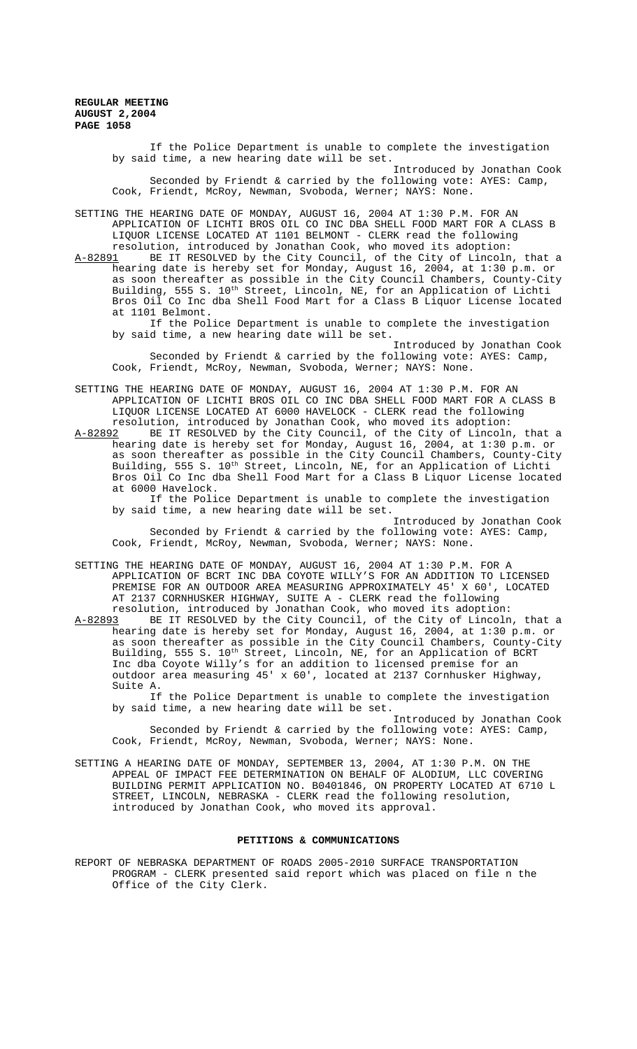> If the Police Department is unable to complete the investigation by said time, a new hearing date will be set.

Introduced by Jonathan Cook Seconded by Friendt & carried by the following vote: AYES: Camp, Cook, Friendt, McRoy, Newman, Svoboda, Werner; NAYS: None.

SETTING THE HEARING DATE OF MONDAY, AUGUST 16, 2004 AT 1:30 P.M. FOR AN APPLICATION OF LICHTI BROS OIL CO INC DBA SHELL FOOD MART FOR A CLASS B LIQUOR LICENSE LOCATED AT 1101 BELMONT - CLERK read the following resolution, introduced by Jonathan Cook, who moved its adoption:

A-82891 BE IT RESOLVED by the City Council, of the City of Lincoln, that a hearing date is hereby set for Monday, August 16, 2004, at 1:30 p.m. or as soon thereafter as possible in the City Council Chambers, County-City Building, 555 S. 10<sup>th</sup> Street, Lincoln, NE, for an Application of Lichti Bros Oil Co Inc dba Shell Food Mart for a Class B Liquor License located at 1101 Belmont.

If the Police Department is unable to complete the investigation by said time, a new hearing date will be set.

Introduced by Jonathan Cook Seconded by Friendt & carried by the following vote: AYES: Camp, Cook, Friendt, McRoy, Newman, Svoboda, Werner; NAYS: None.

SETTING THE HEARING DATE OF MONDAY, AUGUST 16, 2004 AT 1:30 P.M. FOR AN APPLICATION OF LICHTI BROS OIL CO INC DBA SHELL FOOD MART FOR A CLASS B LIQUOR LICENSE LOCATED AT 6000 HAVELOCK - CLERK read the following

resolution, introduced by Jonathan Cook, who moved its adoption:<br>A-82892 BE IT RESOLVED by the City Council, of the City of Lincoln BE IT RESOLVED by the City Council, of the City of Lincoln, that a hearing date is hereby set for Monday, August 16, 2004, at 1:30 p.m. or as soon thereafter as possible in the City Council Chambers, County-City Building, 555 S. 10<sup>th</sup> Street, Lincoln, NE, for an Application of Lichti Bros Oil Co Inc dba Shell Food Mart for a Class B Liquor License located at 6000 Havelock.

If the Police Department is unable to complete the investigation by said time, a new hearing date will be set.

Introduced by Jonathan Cook Seconded by Friendt & carried by the following vote: AYES: Camp, Cook, Friendt, McRoy, Newman, Svoboda, Werner; NAYS: None.

SETTING THE HEARING DATE OF MONDAY, AUGUST 16, 2004 AT 1:30 P.M. FOR A APPLICATION OF BCRT INC DBA COYOTE WILLY'S FOR AN ADDITION TO LICENSED PREMISE FOR AN OUTDOOR AREA MEASURING APPROXIMATELY 45' X 60', LOCATED AT 2137 CORNHUSKER HIGHWAY, SUITE A - CLERK read the following resolution, introduced by Jonathan Cook, who moved its adoption:

A-82893 BE IT RESOLVED by the City Council, of the City of Lincoln, that a hearing date is hereby set for Monday, August 16, 2004, at 1:30 p.m. or as soon thereafter as possible in the City Council Chambers, County-City Building, 555 S. 10<sup>th</sup> Street, Lincoln, NE, for an Application of BCRT Inc dba Coyote Willy's for an addition to licensed premise for an outdoor area measuring 45' x 60', located at 2137 Cornhusker Highway, Suite A.

If the Police Department is unable to complete the investigation by said time, a new hearing date will be set.

Introduced by Jonathan Cook Seconded by Friendt & carried by the following vote: AYES: Camp, Cook, Friendt, McRoy, Newman, Svoboda, Werner; NAYS: None.

SETTING A HEARING DATE OF MONDAY, SEPTEMBER 13, 2004, AT 1:30 P.M. ON THE APPEAL OF IMPACT FEE DETERMINATION ON BEHALF OF ALODIUM, LLC COVERING BUILDING PERMIT APPLICATION NO. B0401846, ON PROPERTY LOCATED AT 6710 L STREET, LINCOLN, NEBRASKA - CLERK read the following resolution, introduced by Jonathan Cook, who moved its approval.

## **PETITIONS & COMMUNICATIONS**

REPORT OF NEBRASKA DEPARTMENT OF ROADS 2005-2010 SURFACE TRANSPORTATION PROGRAM - CLERK presented said report which was placed on file n the Office of the City Clerk.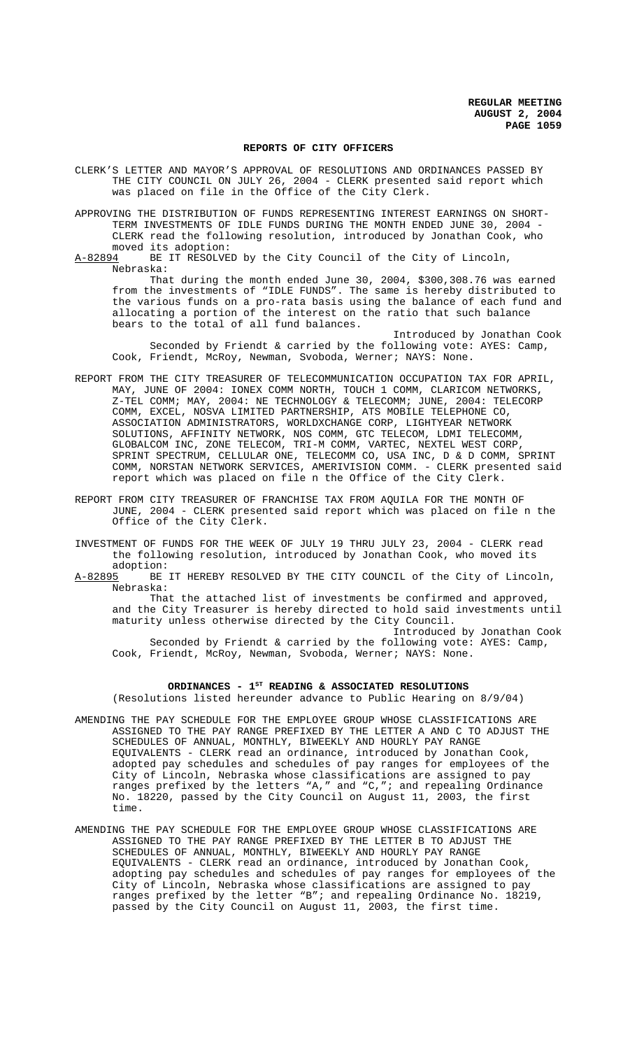### **REPORTS OF CITY OFFICERS**

CLERK'S LETTER AND MAYOR'S APPROVAL OF RESOLUTIONS AND ORDINANCES PASSED BY THE CITY COUNCIL ON JULY 26, 2004 - CLERK presented said report which was placed on file in the Office of the City Clerk.

APPROVING THE DISTRIBUTION OF FUNDS REPRESENTING INTEREST EARNINGS ON SHORT-TERM INVESTMENTS OF IDLE FUNDS DURING THE MONTH ENDED JUNE 30, 2004 -CLERK read the following resolution, introduced by Jonathan Cook, who moved its adoption:

A-82894 BE IT RESOLVED by the City Council of the City of Lincoln, Nebraska:

That during the month ended June 30, 2004, \$300,308.76 was earned from the investments of "IDLE FUNDS". The same is hereby distributed to the various funds on a pro-rata basis using the balance of each fund and allocating a portion of the interest on the ratio that such balance bears to the total of all fund balances.

Introduced by Jonathan Cook Seconded by Friendt & carried by the following vote: AYES: Camp, Cook, Friendt, McRoy, Newman, Svoboda, Werner; NAYS: None.

- REPORT FROM THE CITY TREASURER OF TELECOMMUNICATION OCCUPATION TAX FOR APRIL, MAY, JUNE OF 2004: IONEX COMM NORTH, TOUCH 1 COMM, CLARICOM NETWORKS, Z-TEL COMM; MAY, 2004: NE TECHNOLOGY & TELECOMM; JUNE, 2004: TELECORP COMM, EXCEL, NOSVA LIMITED PARTNERSHIP, ATS MOBILE TELEPHONE CO, ASSOCIATION ADMINISTRATORS, WORLDXCHANGE CORP, LIGHTYEAR NETWORK SOLUTIONS, AFFINITY NETWORK, NOS COMM, GTC TELECOM, LDMI TELECOMM, GLOBALCOM INC, ZONE TELECOM, TRI-M COMM, VARTEC, NEXTEL WEST CORP, SPRINT SPECTRUM, CELLULAR ONE, TELECOMM CO, USA INC, D & D COMM, SPRINT COMM, NORSTAN NETWORK SERVICES, AMERIVISION COMM. - CLERK presented said report which was placed on file n the Office of the City Clerk.
- REPORT FROM CITY TREASURER OF FRANCHISE TAX FROM AQUILA FOR THE MONTH OF JUNE, 2004 - CLERK presented said report which was placed on file n the Office of the City Clerk.

INVESTMENT OF FUNDS FOR THE WEEK OF JULY 19 THRU JULY 23, 2004 - CLERK read the following resolution, introduced by Jonathan Cook, who moved its

adoption:<br>A-82895 BE BE IT HEREBY RESOLVED BY THE CITY COUNCIL of the City of Lincoln, Nebraska:

That the attached list of investments be confirmed and approved, and the City Treasurer is hereby directed to hold said investments until maturity unless otherwise directed by the City Council.

Introduced by Jonathan Cook Seconded by Friendt & carried by the following vote: AYES: Camp, Cook, Friendt, McRoy, Newman, Svoboda, Werner; NAYS: None.

## **ORDINANCES - 1ST READING & ASSOCIATED RESOLUTIONS**

(Resolutions listed hereunder advance to Public Hearing on 8/9/04)

- AMENDING THE PAY SCHEDULE FOR THE EMPLOYEE GROUP WHOSE CLASSIFICATIONS ARE ASSIGNED TO THE PAY RANGE PREFIXED BY THE LETTER A AND C TO ADJUST THE SCHEDULES OF ANNUAL, MONTHLY, BIWEEKLY AND HOURLY PAY RANGE EQUIVALENTS - CLERK read an ordinance, introduced by Jonathan Cook, adopted pay schedules and schedules of pay ranges for employees of the City of Lincoln, Nebraska whose classifications are assigned to pay ranges prefixed by the letters "A," and "C,"; and repealing Ordinance No. 18220, passed by the City Council on August 11, 2003, the first time.
- AMENDING THE PAY SCHEDULE FOR THE EMPLOYEE GROUP WHOSE CLASSIFICATIONS ARE ASSIGNED TO THE PAY RANGE PREFIXED BY THE LETTER B TO ADJUST THE SCHEDULES OF ANNUAL, MONTHLY, BIWEEKLY AND HOURLY PAY RANGE EQUIVALENTS - CLERK read an ordinance, introduced by Jonathan Cook, adopting pay schedules and schedules of pay ranges for employees of the City of Lincoln, Nebraska whose classifications are assigned to pay ranges prefixed by the letter "B"; and repealing Ordinance No. 18219, passed by the City Council on August 11, 2003, the first time.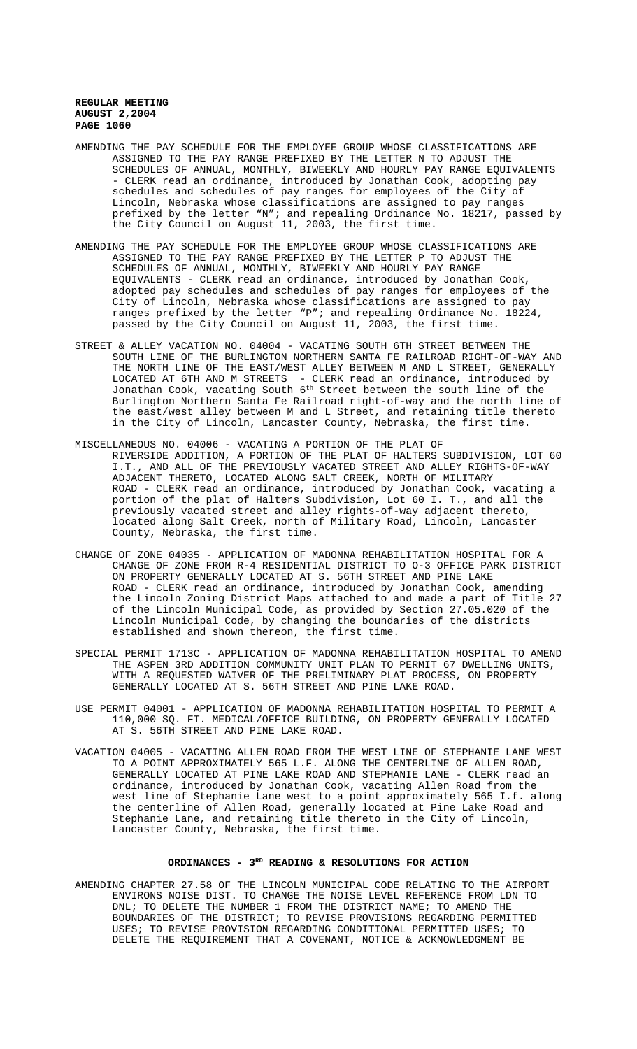- AMENDING THE PAY SCHEDULE FOR THE EMPLOYEE GROUP WHOSE CLASSIFICATIONS ARE ASSIGNED TO THE PAY RANGE PREFIXED BY THE LETTER N TO ADJUST THE SCHEDULES OF ANNUAL, MONTHLY, BIWEEKLY AND HOURLY PAY RANGE EQUIVALENTS - CLERK read an ordinance, introduced by Jonathan Cook, adopting pay schedules and schedules of pay ranges for employees of the City of Lincoln, Nebraska whose classifications are assigned to pay ranges prefixed by the letter "N"; and repealing Ordinance No. 18217, passed by the City Council on August 11, 2003, the first time.
- AMENDING THE PAY SCHEDULE FOR THE EMPLOYEE GROUP WHOSE CLASSIFICATIONS ARE ASSIGNED TO THE PAY RANGE PREFIXED BY THE LETTER P TO ADJUST THE SCHEDULES OF ANNUAL, MONTHLY, BIWEEKLY AND HOURLY PAY RANGE EQUIVALENTS - CLERK read an ordinance, introduced by Jonathan Cook, adopted pay schedules and schedules of pay ranges for employees of the City of Lincoln, Nebraska whose classifications are assigned to pay ranges prefixed by the letter "P"; and repealing Ordinance No. 18224, passed by the City Council on August 11, 2003, the first time.
- STREET & ALLEY VACATION NO. 04004 VACATING SOUTH 6TH STREET BETWEEN THE SOUTH LINE OF THE BURLINGTON NORTHERN SANTA FE RAILROAD RIGHT-OF-WAY AND THE NORTH LINE OF THE EAST/WEST ALLEY BETWEEN M AND L STREET, GENERALLY LOCATED AT 6TH AND M STREETS - CLERK read an ordinance, introduced by Jonathan Cook, vacating South  $6^{\rm th}$  Street between the south line of the Burlington Northern Santa Fe Railroad right-of-way and the north line of the east/west alley between M and L Street, and retaining title thereto in the City of Lincoln, Lancaster County, Nebraska, the first time.
- MISCELLANEOUS NO. 04006 VACATING A PORTION OF THE PLAT OF RIVERSIDE ADDITION, A PORTION OF THE PLAT OF HALTERS SUBDIVISION, LOT 60 I.T., AND ALL OF THE PREVIOUSLY VACATED STREET AND ALLEY RIGHTS-OF-WAY ADJACENT THERETO, LOCATED ALONG SALT CREEK, NORTH OF MILITARY ROAD - CLERK read an ordinance, introduced by Jonathan Cook, vacating a portion of the plat of Halters Subdivision, Lot 60 I. T., and all the previously vacated street and alley rights-of-way adjacent thereto, located along Salt Creek, north of Military Road, Lincoln, Lancaster County, Nebraska, the first time.
- CHANGE OF ZONE 04035 APPLICATION OF MADONNA REHABILITATION HOSPITAL FOR A CHANGE OF ZONE FROM R-4 RESIDENTIAL DISTRICT TO O-3 OFFICE PARK DISTRICT ON PROPERTY GENERALLY LOCATED AT S. 56TH STREET AND PINE LAKE ROAD - CLERK read an ordinance, introduced by Jonathan Cook, amending the Lincoln Zoning District Maps attached to and made a part of Title 27 of the Lincoln Municipal Code, as provided by Section 27.05.020 of the Lincoln Municipal Code, by changing the boundaries of the districts established and shown thereon, the first time.
- SPECIAL PERMIT 1713C APPLICATION OF MADONNA REHABILITATION HOSPITAL TO AMEND THE ASPEN 3RD ADDITION COMMUNITY UNIT PLAN TO PERMIT 67 DWELLING UNITS, WITH A REQUESTED WAIVER OF THE PRELIMINARY PLAT PROCESS, ON PROPERTY GENERALLY LOCATED AT S. 56TH STREET AND PINE LAKE ROAD.
- USE PERMIT 04001 APPLICATION OF MADONNA REHABILITATION HOSPITAL TO PERMIT A 110,000 SQ. FT. MEDICAL/OFFICE BUILDING, ON PROPERTY GENERALLY LOCATED AT S. 56TH STREET AND PINE LAKE ROAD.
- VACATION 04005 VACATING ALLEN ROAD FROM THE WEST LINE OF STEPHANIE LANE WEST TO A POINT APPROXIMATELY 565 L.F. ALONG THE CENTERLINE OF ALLEN ROAD, GENERALLY LOCATED AT PINE LAKE ROAD AND STEPHANIE LANE - CLERK read an ordinance, introduced by Jonathan Cook, vacating Allen Road from the west line of Stephanie Lane west to a point approximately 565 I.f. along the centerline of Allen Road, generally located at Pine Lake Road and Stephanie Lane, and retaining title thereto in the City of Lincoln, Lancaster County, Nebraska, the first time.

## ORDINANCES - 3<sup>RD</sup> READING & RESOLUTIONS FOR ACTION

AMENDING CHAPTER 27.58 OF THE LINCOLN MUNICIPAL CODE RELATING TO THE AIRPORT ENVIRONS NOISE DIST. TO CHANGE THE NOISE LEVEL REFERENCE FROM LDN TO DNL; TO DELETE THE NUMBER 1 FROM THE DISTRICT NAME; TO AMEND THE BOUNDARIES OF THE DISTRICT; TO REVISE PROVISIONS REGARDING PERMITTED USES; TO REVISE PROVISION REGARDING CONDITIONAL PERMITTED USES; TO DELETE THE REQUIREMENT THAT A COVENANT, NOTICE & ACKNOWLEDGMENT BE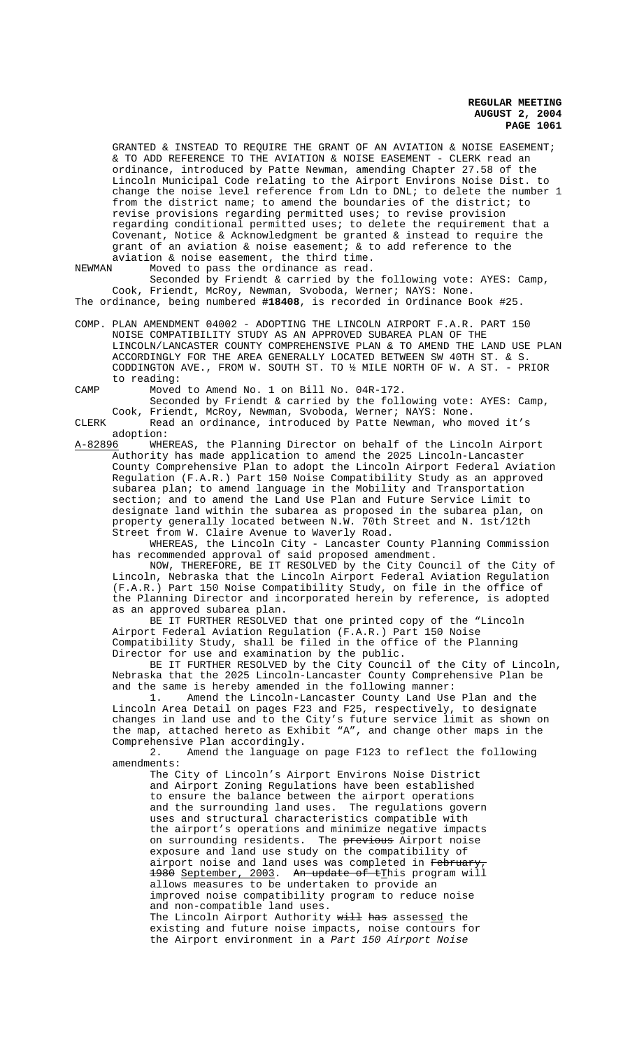GRANTED & INSTEAD TO REQUIRE THE GRANT OF AN AVIATION & NOISE EASEMENT; & TO ADD REFERENCE TO THE AVIATION & NOISE EASEMENT - CLERK read an ordinance, introduced by Patte Newman, amending Chapter 27.58 of the Lincoln Municipal Code relating to the Airport Environs Noise Dist. to change the noise level reference from Ldn to DNL; to delete the number 1 from the district name; to amend the boundaries of the district; to revise provisions regarding permitted uses; to revise provision regarding conditional permitted uses; to delete the requirement that a Covenant, Notice & Acknowledgment be granted & instead to require the grant of an aviation & noise easement; & to add reference to the

aviation & noise easement, the third time.<br>NEWMAN Moved to pass the ordinance as read. Moved to pass the ordinance as read. Seconded by Friendt & carried by the following vote: AYES: Camp, Cook, Friendt, McRoy, Newman, Svoboda, Werner; NAYS: None. The ordinance, being numbered **#18408**, is recorded in Ordinance Book #25.

COMP. PLAN AMENDMENT 04002 - ADOPTING THE LINCOLN AIRPORT F.A.R. PART 150 NOISE COMPATIBILITY STUDY AS AN APPROVED SUBAREA PLAN OF THE LINCOLN/LANCASTER COUNTY COMPREHENSIVE PLAN & TO AMEND THE LAND USE PLAN ACCORDINGLY FOR THE AREA GENERALLY LOCATED BETWEEN SW 40TH ST. & S. CODDINGTON AVE., FROM W. SOUTH ST. TO ½ MILE NORTH OF W. A ST. - PRIOR to reading:

CAMP Moved to Amend No. 1 on Bill No. 04R-172. Seconded by Friendt & carried by the following vote: AYES: Camp,

Cook, Friendt, McRoy, Newman, Svoboda, Werner; NAYS: None. CLERK Read an ordinance, introduced by Patte Newman, who moved it's

adoption:<br><u>A-82896</u> WHE WHEREAS, the Planning Director on behalf of the Lincoln Airport

Authority has made application to amend the 2025 Lincoln-Lancaster County Comprehensive Plan to adopt the Lincoln Airport Federal Aviation Regulation (F.A.R.) Part 150 Noise Compatibility Study as an approved subarea plan; to amend language in the Mobility and Transportation section; and to amend the Land Use Plan and Future Service Limit to designate land within the subarea as proposed in the subarea plan, on property generally located between N.W. 70th Street and N. 1st/12th Street from W. Claire Avenue to Waverly Road.

WHEREAS, the Lincoln City - Lancaster County Planning Commission has recommended approval of said proposed amendment.

NOW, THEREFORE, BE IT RESOLVED by the City Council of the City of Lincoln, Nebraska that the Lincoln Airport Federal Aviation Regulation (F.A.R.) Part 150 Noise Compatibility Study, on file in the office of the Planning Director and incorporated herein by reference, is adopted as an approved subarea plan.

BE IT FURTHER RESOLVED that one printed copy of the "Lincoln Airport Federal Aviation Regulation (F.A.R.) Part 150 Noise Compatibility Study, shall be filed in the office of the Planning Director for use and examination by the public.

BE IT FURTHER RESOLVED by the City Council of the City of Lincoln, Nebraska that the 2025 Lincoln-Lancaster County Comprehensive Plan be and the same is hereby amended in the following manner:

1. Amend the Lincoln-Lancaster County Land Use Plan and the Lincoln Area Detail on pages F23 and F25, respectively, to designate changes in land use and to the City's future service limit as shown on the map, attached hereto as Exhibit "A", and change other maps in the Comprehensive Plan accordingly.

2. Amend the language on page F123 to reflect the following amendments:

The City of Lincoln's Airport Environs Noise District and Airport Zoning Regulations have been established to ensure the balance between the airport operations and the surrounding land uses. The regulations govern uses and structural characteristics compatible with the airport's operations and minimize negative impacts on surrounding residents. The <del>previous</del> Airport noise exposure and land use study on the compatibility of airport noise and land uses was completed in Februar 1980 September, 2003. An update of tThis program will allows measures to be undertaken to provide an improved noise compatibility program to reduce noise and non-compatible land uses. The Lincoln Airport Authority will has assessed the existing and future noise impacts, noise contours for the Airport environment in a Part 150 Airport Noise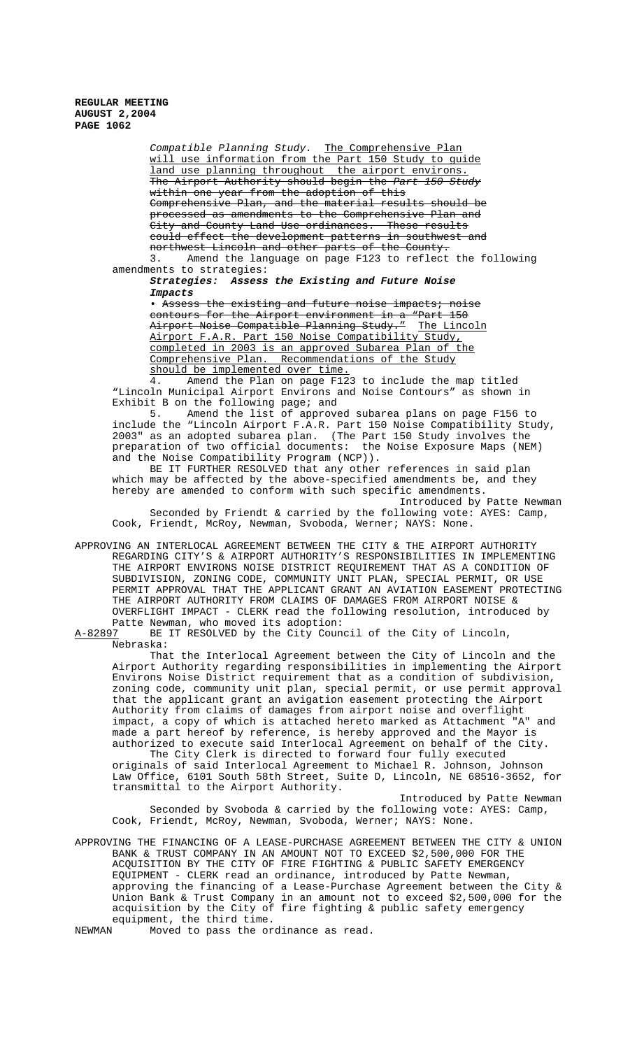> Compatible Planning Study. The Comprehensive Plan will use information from the Part 150 Study to guide land use planning throughout the airport environs. The Airport Authority should begin the Part 150 Study within one year from the adoption of this Comprehensive Plan, and the material results should be processed as amendments to the Comprehensive Plan and City and County Land Use ordinances. These results could effect the development patterns in southwest and northwest Lincoln and other parts of the County. 3. Amend the language on page F123 to reflect the following

amendments to strategies: **Strategies: Assess the Existing and Future Noise**

**Impacts**

• Assess the existing and future noise impacts; noise contours for the Airport environment in a "Part 150 Airport Noise Compatible Planning Study." The Lincoln Airport F.A.R. Part 150 Noise Compatibility Study, completed in 2003 is an approved Subarea Plan of the Comprehensive Plan. Recommendations of the Study should be implemented over time.<br>4. Amend the Plan on page F12

Amend the Plan on page F123 to include the map titled "Lincoln Municipal Airport Environs and Noise Contours" as shown in Exhibit B on the following page; and

5. Amend the list of approved subarea plans on page F156 to include the "Lincoln Airport F.A.R. Part 150 Noise Compatibility Study, 2003" as an adopted subarea plan. (The Part 150 Study involves the preparation of two official documents: the Noise Exposure Maps (NEM) and the Noise Compatibility Program (NCP)).

BE IT FURTHER RESOLVED that any other references in said plan which may be affected by the above-specified amendments be, and they hereby are amended to conform with such specific amendments.

Introduced by Patte Newman Seconded by Friendt & carried by the following vote: AYES: Camp, Cook, Friendt, McRoy, Newman, Svoboda, Werner; NAYS: None.

APPROVING AN INTERLOCAL AGREEMENT BETWEEN THE CITY & THE AIRPORT AUTHORITY REGARDING CITY'S & AIRPORT AUTHORITY'S RESPONSIBILITIES IN IMPLEMENTING THE AIRPORT ENVIRONS NOISE DISTRICT REQUIREMENT THAT AS A CONDITION OF SUBDIVISION, ZONING CODE, COMMUNITY UNIT PLAN, SPECIAL PERMIT, OR USE PERMIT APPROVAL THAT THE APPLICANT GRANT AN AVIATION EASEMENT PROTECTING THE AIRPORT AUTHORITY FROM CLAIMS OF DAMAGES FROM AIRPORT NOISE & OVERFLIGHT IMPACT - CLERK read the following resolution, introduced by

Patte Newman, who moved its adoption:<br>A-82897 BE IT RESOLVED by the City Coun BE IT RESOLVED by the City Council of the City of Lincoln, Nebraska:

That the Interlocal Agreement between the City of Lincoln and the Airport Authority regarding responsibilities in implementing the Airport Environs Noise District requirement that as a condition of subdivision, zoning code, community unit plan, special permit, or use permit approval that the applicant grant an avigation easement protecting the Airport Authority from claims of damages from airport noise and overflight impact, a copy of which is attached hereto marked as Attachment "A" and made a part hereof by reference, is hereby approved and the Mayor is authorized to execute said Interlocal Agreement on behalf of the City.

The City Clerk is directed to forward four fully executed originals of said Interlocal Agreement to Michael R. Johnson, Johnson Law Office, 6101 South 58th Street, Suite D, Lincoln, NE 68516-3652, for transmittal to the Airport Authority.

Introduced by Patte Newman Seconded by Svoboda & carried by the following vote: AYES: Camp, Cook, Friendt, McRoy, Newman, Svoboda, Werner; NAYS: None.

APPROVING THE FINANCING OF A LEASE-PURCHASE AGREEMENT BETWEEN THE CITY & UNION BANK & TRUST COMPANY IN AN AMOUNT NOT TO EXCEED \$2,500,000 FOR THE ACQUISITION BY THE CITY OF FIRE FIGHTING & PUBLIC SAFETY EMERGENCY EQUIPMENT - CLERK read an ordinance, introduced by Patte Newman, approving the financing of a Lease-Purchase Agreement between the City & Union Bank & Trust Company in an amount not to exceed \$2,500,000 for the acquisition by the City of fire fighting & public safety emergency equipment, the third time.<br>NEWMAN Moved to pass the or

Moved to pass the ordinance as read.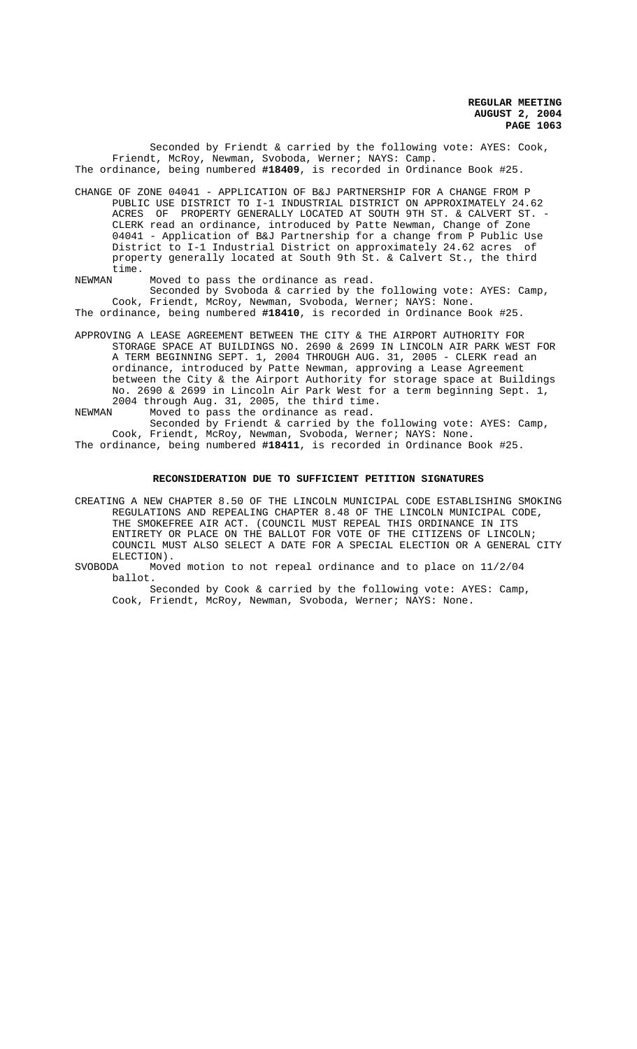Seconded by Friendt & carried by the following vote: AYES: Cook, Friendt, McRoy, Newman, Svoboda, Werner; NAYS: Camp. The ordinance, being numbered **#18409**, is recorded in Ordinance Book #25.

CHANGE OF ZONE 04041 - APPLICATION OF B&J PARTNERSHIP FOR A CHANGE FROM P PUBLIC USE DISTRICT TO I-1 INDUSTRIAL DISTRICT ON APPROXIMATELY 24.62 ACRES OF PROPERTY GENERALLY LOCATED AT SOUTH 9TH ST. & CALVERT ST. -CLERK read an ordinance, introduced by Patte Newman, Change of Zone 04041 - Application of B&J Partnership for a change from P Public Use District to I-1 Industrial District on approximately 24.62 acres of property generally located at South 9th St. & Calvert St., the third time.<br>NEWMAN

Moved to pass the ordinance as read.

Seconded by Svoboda & carried by the following vote: AYES: Camp, Cook, Friendt, McRoy, Newman, Svoboda, Werner; NAYS: None. The ordinance, being numbered **#18410**, is recorded in Ordinance Book #25.

APPROVING A LEASE AGREEMENT BETWEEN THE CITY & THE AIRPORT AUTHORITY FOR STORAGE SPACE AT BUILDINGS NO. 2690 & 2699 IN LINCOLN AIR PARK WEST FOR A TERM BEGINNING SEPT. 1, 2004 THROUGH AUG. 31, 2005 - CLERK read an ordinance, introduced by Patte Newman, approving a Lease Agreement between the City & the Airport Authority for storage space at Buildings No. 2690 & 2699 in Lincoln Air Park West for a term beginning Sept. 1, 2004 through Aug. 31, 2005, the third time.

NEWMAN Moved to pass the ordinance as read.

Seconded by Friendt & carried by the following vote: AYES: Camp, Cook, Friendt, McRoy, Newman, Svoboda, Werner; NAYS: None. The ordinance, being numbered **#18411**, is recorded in Ordinance Book #25.

## **RECONSIDERATION DUE TO SUFFICIENT PETITION SIGNATURES**

CREATING A NEW CHAPTER 8.50 OF THE LINCOLN MUNICIPAL CODE ESTABLISHING SMOKING REGULATIONS AND REPEALING CHAPTER 8.48 OF THE LINCOLN MUNICIPAL CODE, THE SMOKEFREE AIR ACT. (COUNCIL MUST REPEAL THIS ORDINANCE IN ITS ENTIRETY OR PLACE ON THE BALLOT FOR VOTE OF THE CITIZENS OF LINCOLN; COUNCIL MUST ALSO SELECT A DATE FOR A SPECIAL ELECTION OR A GENERAL CITY ELECTION).<br>SVOBODA Move

Moved motion to not repeal ordinance and to place on  $11/2/04$ ballot.

Seconded by Cook & carried by the following vote: AYES: Camp, Cook, Friendt, McRoy, Newman, Svoboda, Werner; NAYS: None.